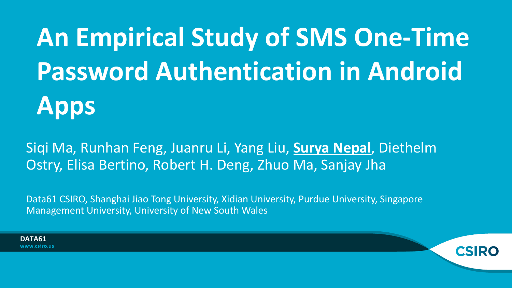**An Empirical Study of SMS One-Time Password Authentication in Android Apps**

Siqi Ma, Runhan Feng, Juanru Li, Yang Liu, **Surya Nepal**, Diethelm Ostry, Elisa Bertino, Robert H. Deng, Zhuo Ma, Sanjay Jha

Data61 CSIRO, Shanghai Jiao Tong University, Xidian University, Purdue University, Singapore Management University, University of New South Wales

**DATA61**www.csiro.us

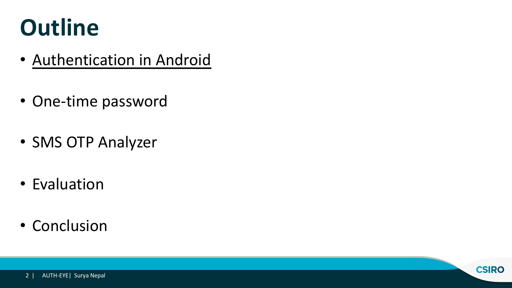### **Outline**

- Authentication in Android
- One-time password
- SMS OTP Analyzer
- Evaluation
- Conclusion

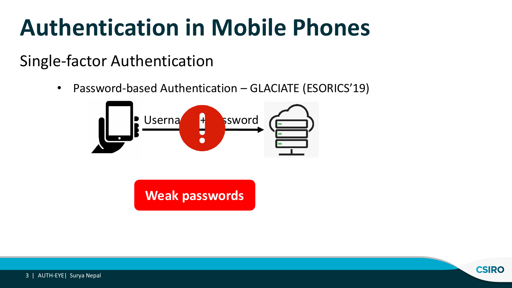### **Authentication in Mobile Phones**

#### Single-factor Authentication

• Password-based Authentication – GLACIATE (ESORICS'19)



**Weak passwords**

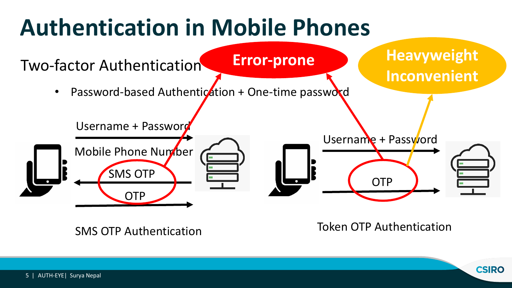## **Authentication in Mobile Phones**



Token OTP Authentication SMS OTP Authentication

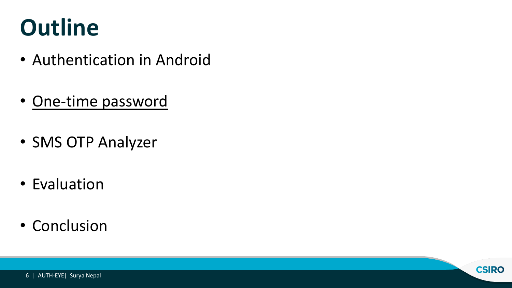### **Outline**

- Authentication in Android
- One-time password
- SMS OTP Analyzer
- Evaluation
- Conclusion

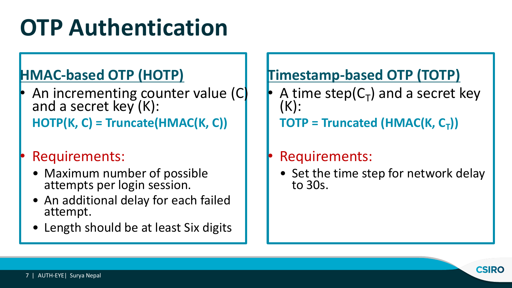## **OTP Authentication**

#### **HMAC-based OTP (HOTP)**

- An incrementing counter value (C) and a secret key  $(K)$ : **HOTP(K, C) = Truncate(HMAC(K, C))**
- Requirements:
	- Maximum number of possible attempts per login session.
	- An additional delay for each failed attempt.
	- Length should be at least Six digits

#### **Timestamp-based OTP (TOTP)**

A time step( $C_T$ ) and a secret key (K):  $TOTP = Truncated (HMAC(K, C<sub>T</sub>))$ 

#### Requirements:

• Set the time step for network delay to 30s.

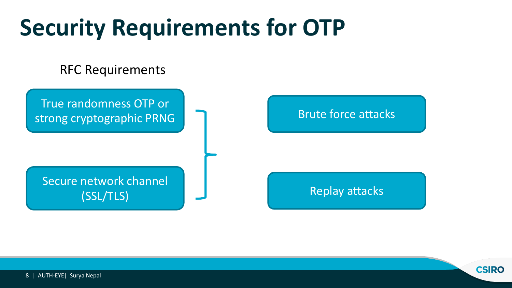### **Security Requirements for OTP**

#### RFC Requirements

True randomness OTP or strong cryptographic PRNG

#### Secure network channel (SSL/TLS)

#### Brute force attacks

Replay attacks

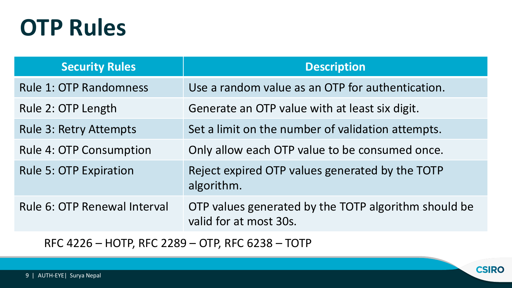#### **OTP Rules**

| <b>Security Rules</b>                                                                                                                                                                                                                                                                                                                                                                                                                                                                              | <b>Description</b>                                                             |
|----------------------------------------------------------------------------------------------------------------------------------------------------------------------------------------------------------------------------------------------------------------------------------------------------------------------------------------------------------------------------------------------------------------------------------------------------------------------------------------------------|--------------------------------------------------------------------------------|
| <b>Rule 1: OTP Randomness</b>                                                                                                                                                                                                                                                                                                                                                                                                                                                                      | Use a random value as an OTP for authentication.                               |
| Rule 2: OTP Length                                                                                                                                                                                                                                                                                                                                                                                                                                                                                 | Generate an OTP value with at least six digit.                                 |
| <b>Rule 3: Retry Attempts</b>                                                                                                                                                                                                                                                                                                                                                                                                                                                                      | Set a limit on the number of validation attempts.                              |
| <b>Rule 4: OTP Consumption</b>                                                                                                                                                                                                                                                                                                                                                                                                                                                                     | Only allow each OTP value to be consumed once.                                 |
| <b>Rule 5: OTP Expiration</b>                                                                                                                                                                                                                                                                                                                                                                                                                                                                      | Reject expired OTP values generated by the TOTP<br>algorithm.                  |
| Rule 6: OTP Renewal Interval                                                                                                                                                                                                                                                                                                                                                                                                                                                                       | OTP values generated by the TOTP algorithm should be<br>valid for at most 30s. |
| $\Gamma$ $\Gamma$ $\Gamma$ $\Gamma$ $\Gamma$ $\Gamma$<br>$\overline{11}$ $\overline{1}$ $\overline{1}$ $\overline{1}$ $\overline{1}$ $\overline{1}$ $\overline{1}$ $\overline{1}$ $\overline{1}$ $\overline{1}$ $\overline{1}$ $\overline{1}$ $\overline{1}$ $\overline{1}$ $\overline{1}$ $\overline{1}$ $\overline{1}$ $\overline{1}$ $\overline{1}$ $\overline{1}$ $\overline{1}$ $\overline{1}$ $\overline{1}$ $\overline{1}$ $\overline{1}$ $\overline{1}$ $\overline{1}$ $\overline$<br>TATH |                                                                                |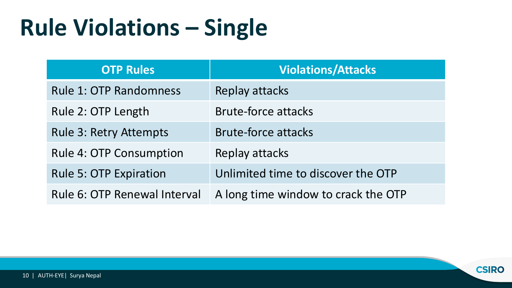### **Rule Violations – Single**

| <b>OTP Rules</b>               | <b>Violations/Attacks</b>           |
|--------------------------------|-------------------------------------|
| <b>Rule 1: OTP Randomness</b>  | Replay attacks                      |
| Rule 2: OTP Length             | <b>Brute-force attacks</b>          |
| <b>Rule 3: Retry Attempts</b>  | <b>Brute-force attacks</b>          |
| <b>Rule 4: OTP Consumption</b> | Replay attacks                      |
| <b>Rule 5: OTP Expiration</b>  | Unlimited time to discover the OTP  |
| Rule 6: OTP Renewal Interval   | A long time window to crack the OTP |

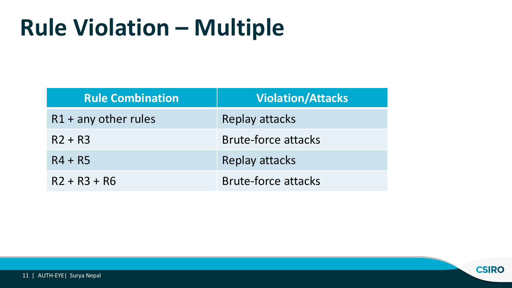### **Rule Violation – Multiple**

| <b>Rule Combination</b> | <b>Violation/Attacks</b>   |
|-------------------------|----------------------------|
| $R1$ + any other rules  | <b>Replay attacks</b>      |
| $R2 + R3$               | <b>Brute-force attacks</b> |
| $R4 + R5$               | <b>Replay attacks</b>      |
| $R2 + R3 + R6$          | <b>Brute-force attacks</b> |

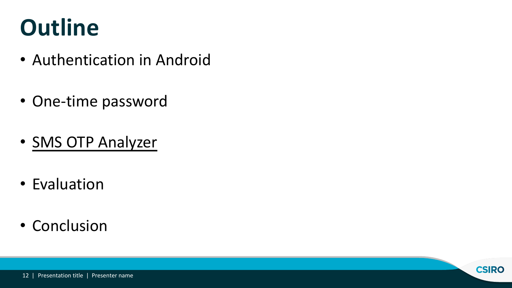### **Outline**

- Authentication in Android
- One-time password
- SMS OTP Analyzer
- Evaluation
- Conclusion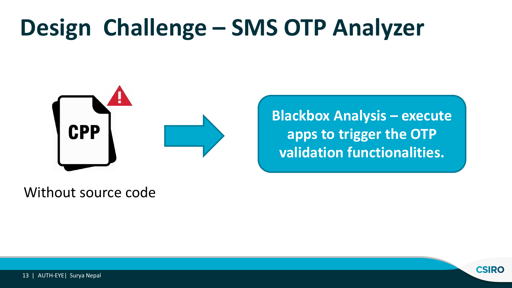

**Blackbox Analysis – execute apps to trigger the OTP validation functionalities.**

Without source code

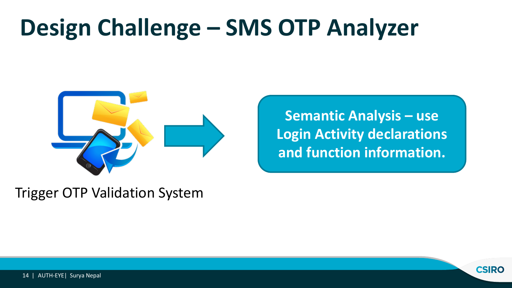

**Semantic Analysis – use Login Activity declarations and function information.**

Trigger OTP Validation System

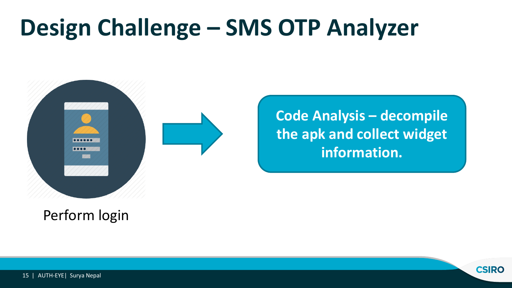

**Code Analysis – decompile the apk and collect widget information.**

Perform login

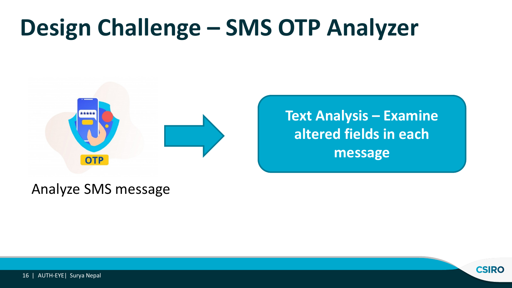

**Text Analysis – Examine altered fields in each message**

Analyze SMS message

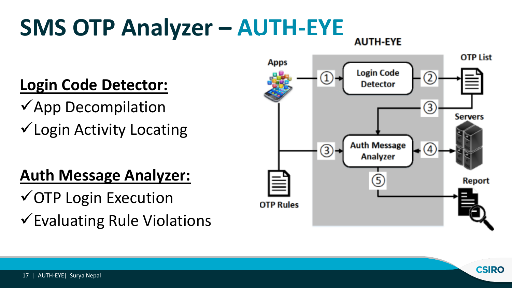## **SMS OTP Analyzer – AUTH-EYE**

#### **Login Code Detector:**

 $\checkmark$ App Decompilation  $\checkmark$  Login Activity Locating

#### **Auth Message Analyzer:**

 $\checkmark$  OTP Login Execution  $\checkmark$  Evaluating Rule Violations



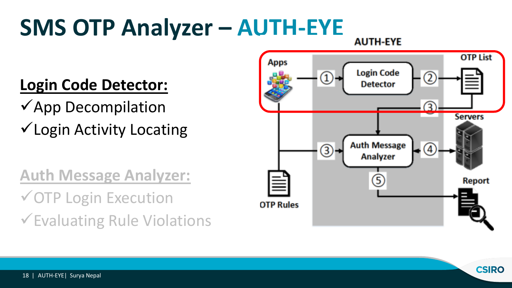## **SMS OTP Analyzer – AUTH-EYE**

#### **Login Code Detector:**

 $\checkmark$ App Decompilation  $\checkmark$  Login Activity Locating

**Auth Message Analyzer:**   $\checkmark$  OTP Login Execution  $\checkmark$  Evaluating Rule Violations

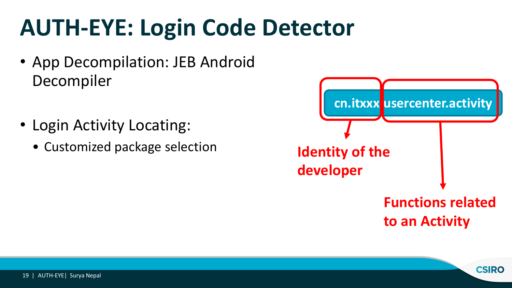### **AUTH-EYE: Login Code Detector**

- App Decompilation: JEB Android Decompiler
- Login Activity Locating:
	- Customized package selection

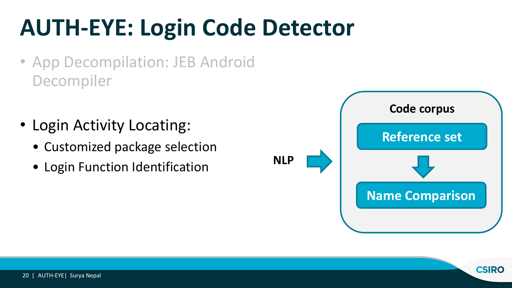## **AUTH-EYE: Login Code Detector**

- App Decompilation: JEB Android Decompiler
- Login Activity Locating:
	- Customized package selection
	- Login Function Identification



**CSIRO**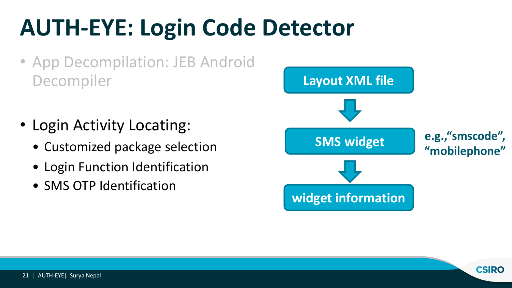## **AUTH-EYE: Login Code Detector**

- App Decompilation: JEB Android Decompiler
- Login Activity Locating:
	- Customized package selection
	- Login Function Identification
	- SMS OTP Identification



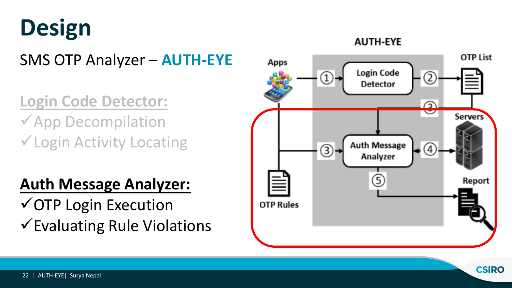## **Design**

SMS OTP Analyzer – **AUTH-EYE**

**Login Code Detector:**   $\checkmark$  App Decompilation  $\checkmark$  Login Activity Locating

#### **Auth Message Analyzer:**

 $\checkmark$  OTP Login Execution  $\checkmark$  Evaluating Rule Violations

#### **OTP List Apps Login Code** 2 **Detector** ⋒ **Servers Auth Message**  $\left( \widehat{4} \right)$ **Analyzer** G **Report OTP Rules**

**CSIRO** 

**AUTH-EYE**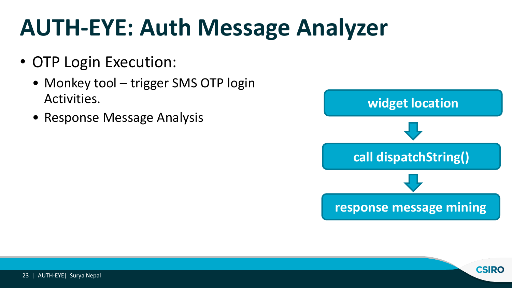- OTP Login Execution:
	- Monkey tool trigger SMS OTP login Activities.
	- Response Message Analysis



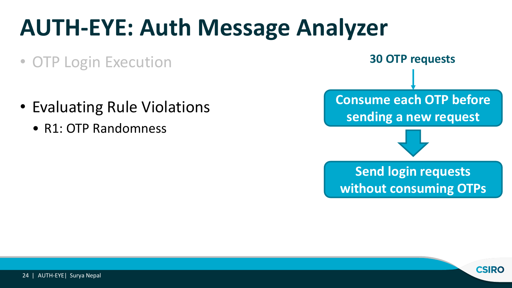- OTP Login Execution
- Evaluating Rule Violations
	- R1: OTP Randomness



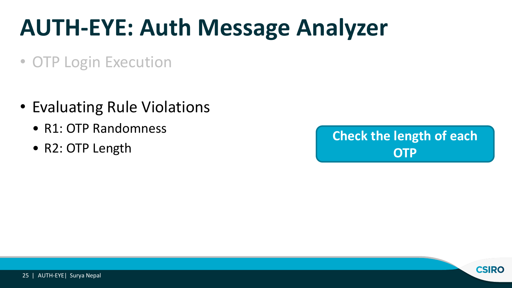- OTP Login Execution
- Evaluating Rule Violations
	- R1: OTP Randomness
	- R2: OTP Length



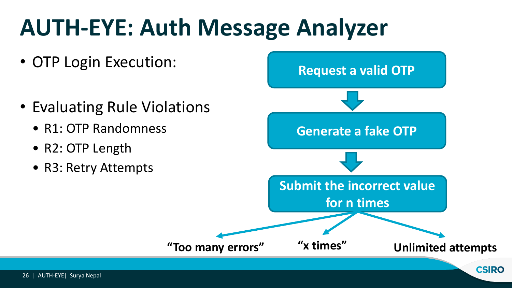- OTP Login Execution:
- Evaluating Rule Violations
	- R1: OTP Randomness
	- R2: OTP Length
	- R3: Retry Attempts

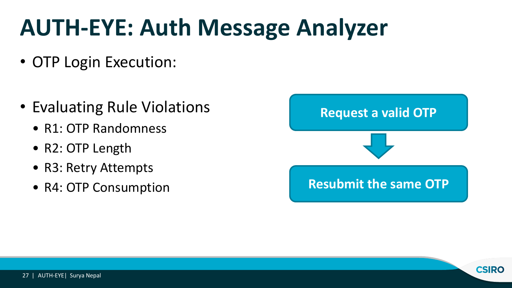- OTP Login Execution:
- Evaluating Rule Violations
	- R1: OTP Randomness
	- R2: OTP Length
	- R3: Retry Attempts
	- R4: OTP Consumption



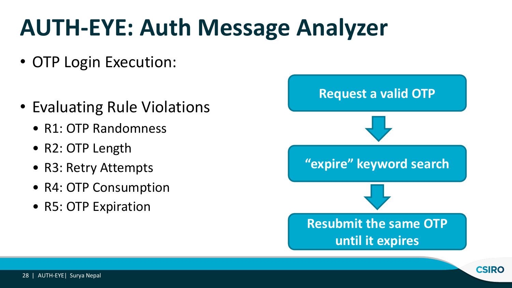- OTP Login Execution:
- Evaluating Rule Violations
	- R1: OTP Randomness
	- R2: OTP Length
	- R3: Retry Attempts
	- R4: OTP Consumption
	- R5: OTP Expiration

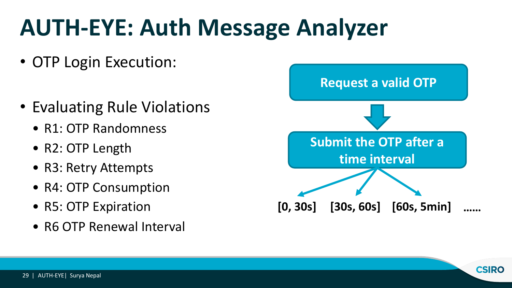- OTP Login Execution:
- Evaluating Rule Violations
	- R1: OTP Randomness
	- R2: OTP Length
	- R3: Retry Attempts
	- R4: OTP Consumption
	- R5: OTP Expiration
	- R6 OTP Renewal Interval



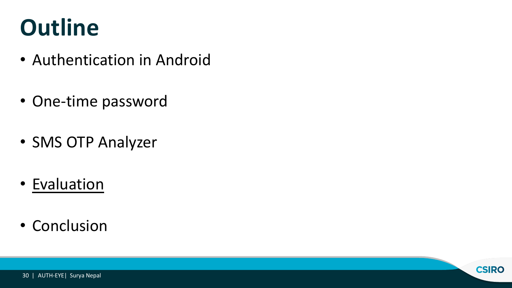### **Outline**

- Authentication in Android
- One-time password
- SMS OTP Analyzer
- Evaluation
- Conclusion

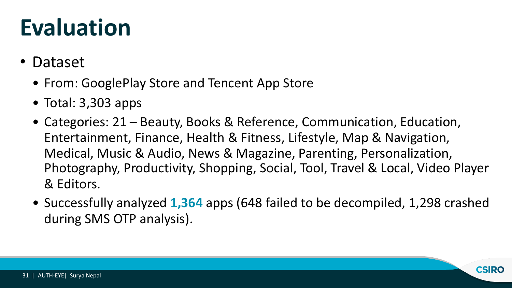#### **Evaluation**

- Dataset
	- From: GooglePlay Store and Tencent App Store
	- Total: 3,303 apps
	- Categories: 21 Beauty, Books & Reference, Communication, Education, Entertainment, Finance, Health & Fitness, Lifestyle, Map & Navigation, Medical, Music & Audio, News & Magazine, Parenting, Personalization, Photography, Productivity, Shopping, Social, Tool, Travel & Local, Video Player & Editors.
	- Successfully analyzed **1,364** apps (648 failed to be decompiled, 1,298 crashed during SMS OTP analysis).

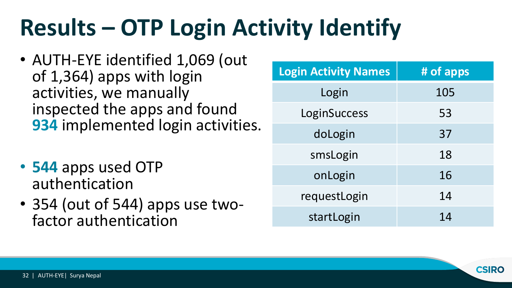## **Results – OTP Login Activity Identify**

- AUTH-EYE identified 1,069 (out of 1,364) apps with login activities, we manually inspected the apps and found **934** implemented login activities.
- **544** apps used OTP authentication
- 354 (out of 544) apps use two- factor authentication

| <b>Login Activity Names</b> | # of apps |
|-----------------------------|-----------|
| Login                       | 105       |
| LoginSuccess                | 53        |
| doLogin                     | 37        |
| smsLogin                    | 18        |
| onLogin                     | 16        |
| requestLogin                | 14        |
| startLogin                  | 14        |

**CSIRO**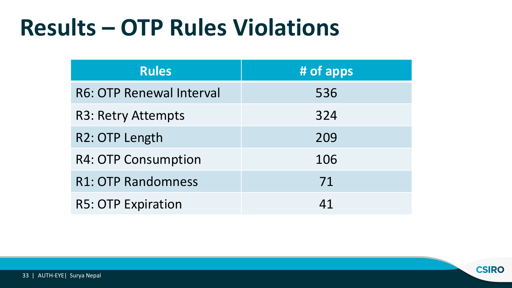#### **Results – OTP Rules Violations**

| <b>Rules</b>               | # of apps |
|----------------------------|-----------|
| R6: OTP Renewal Interval   | 536       |
| <b>R3: Retry Attempts</b>  | 324       |
| R2: OTP Length             | 209       |
| <b>R4: OTP Consumption</b> | 106       |
| <b>R1: OTP Randomness</b>  | 71        |
| <b>R5: OTP Expiration</b>  | 41        |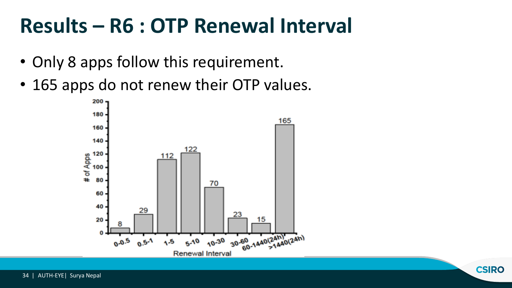#### **Results – R6 : OTP Renewal Interval**

- Only 8 apps follow this requirement.
- 165 apps do not renew their OTP values.

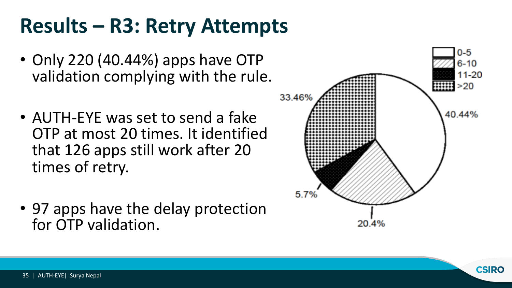#### **Results – R3: Retry Attempts**

- Only 220 (40.44%) apps have OTP validation complying with the rule.
- AUTH-EYE was set to send a fake OTP at most 20 times. It identified that 126 apps still work after 20 times of retry.
- 97 apps have the delay protection for OTP validation.



**CSIRO**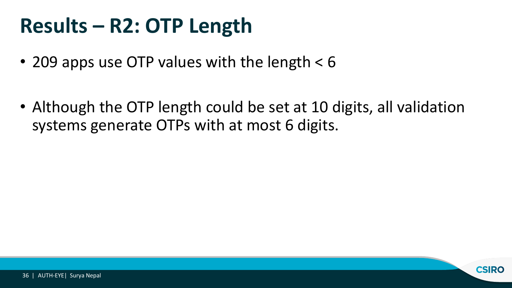#### **Results – R2: OTP Length**

- 209 apps use OTP values with the length < 6
- Although the OTP length could be set at 10 digits, all validation systems generate OTPs with at most 6 digits.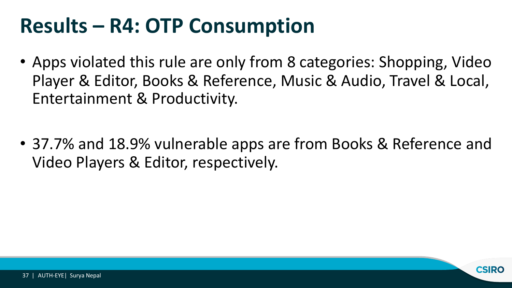#### **Results – R4: OTP Consumption**

- Apps violated this rule are only from 8 categories: Shopping, Video Player & Editor, Books & Reference, Music & Audio, Travel & Local, Entertainment & Productivity.
- 37.7% and 18.9% vulnerable apps are from Books & Reference and Video Players & Editor, respectively.

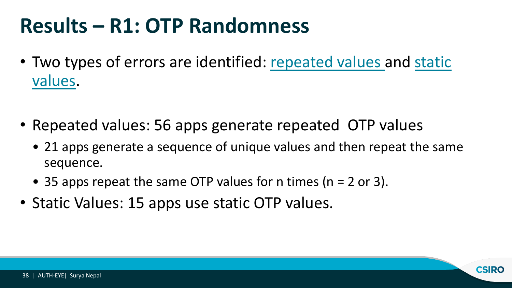#### **Results – R1: OTP Randomness**

- Two types of errors are identified: repeated values and static values.
- Repeated values: 56 apps generate repeated OTP values
	- 21 apps generate a sequence of unique values and then repeat the same sequence.
	- 35 apps repeat the same OTP values for n times ( $n = 2$  or 3).
- Static Values: 15 apps use static OTP values.

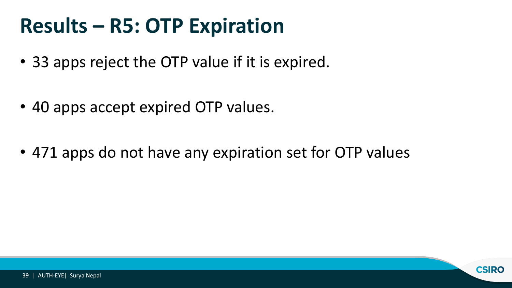#### **Results – R5: OTP Expiration**

- 33 apps reject the OTP value if it is expired.
- 40 apps accept expired OTP values.
- 471 apps do not have any expiration set for OTP values

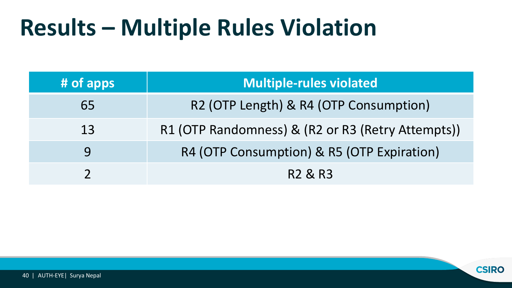#### **Results – Multiple Rules Violation**

| # of apps | <b>Multiple-rules violated</b>                    |
|-----------|---------------------------------------------------|
| 65        | R2 (OTP Length) & R4 (OTP Consumption)            |
| 13        | R1 (OTP Randomness) & (R2 or R3 (Retry Attempts)) |
| 9         | R4 (OTP Consumption) & R5 (OTP Expiration)        |
|           | R <sub>2</sub> & R <sub>3</sub>                   |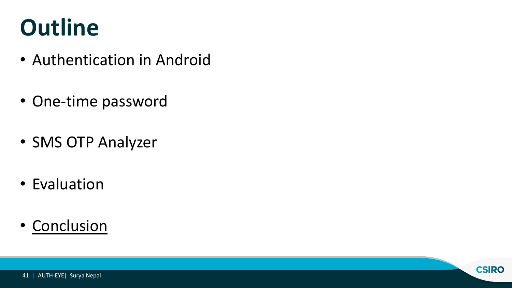### **Outline**

- Authentication in Android
- One-time password
- SMS OTP Analyzer
- Evaluation
- Conclusion

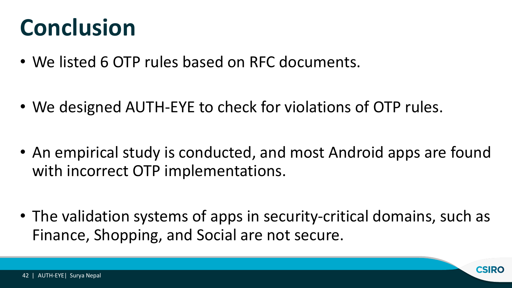#### **Conclusion**

- We listed 6 OTP rules based on RFC documents.
- We designed AUTH-EYE to check for violations of OTP rules.
- An empirical study is conducted, and most Android apps are found with incorrect OTP implementations.
- The validation systems of apps in security-critical domains, such as Finance, Shopping, and Social are not secure.

**CSIRO**